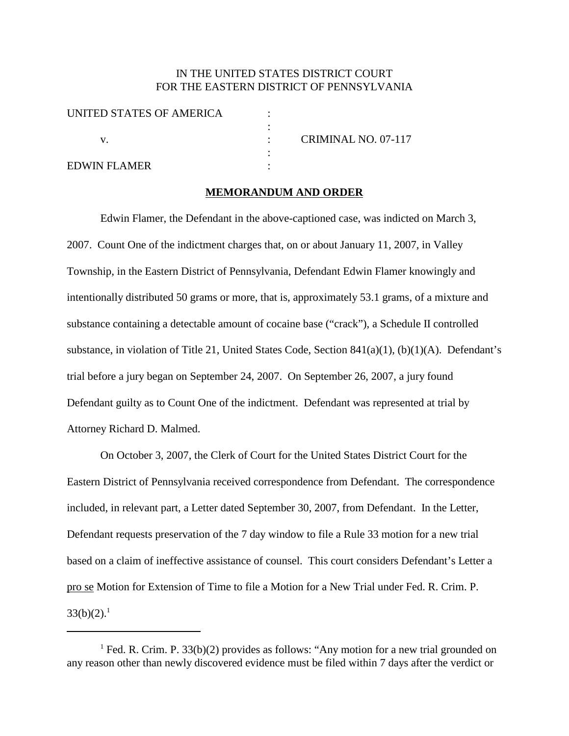## IN THE UNITED STATES DISTRICT COURT FOR THE EASTERN DISTRICT OF PENNSYLVANIA

| CRIMINAL NO. 07-117 |
|---------------------|
|                     |
|                     |
|                     |

## **MEMORANDUM AND ORDER**

Edwin Flamer, the Defendant in the above-captioned case, was indicted on March 3, 2007. Count One of the indictment charges that, on or about January 11, 2007, in Valley Township, in the Eastern District of Pennsylvania, Defendant Edwin Flamer knowingly and intentionally distributed 50 grams or more, that is, approximately 53.1 grams, of a mixture and substance containing a detectable amount of cocaine base ("crack"), a Schedule II controlled substance, in violation of Title 21, United States Code, Section 841(a)(1), (b)(1)(A). Defendant's trial before a jury began on September 24, 2007. On September 26, 2007, a jury found Defendant guilty as to Count One of the indictment. Defendant was represented at trial by Attorney Richard D. Malmed.

On October 3, 2007, the Clerk of Court for the United States District Court for the Eastern District of Pennsylvania received correspondence from Defendant. The correspondence included, in relevant part, a Letter dated September 30, 2007, from Defendant. In the Letter, Defendant requests preservation of the 7 day window to file a Rule 33 motion for a new trial based on a claim of ineffective assistance of counsel. This court considers Defendant's Letter a pro se Motion for Extension of Time to file a Motion for a New Trial under Fed. R. Crim. P.  $33(b)(2).<sup>1</sup>$ 

<sup>&</sup>lt;sup>1</sup> Fed. R. Crim. P. 33(b)(2) provides as follows: "Any motion for a new trial grounded on any reason other than newly discovered evidence must be filed within 7 days after the verdict or